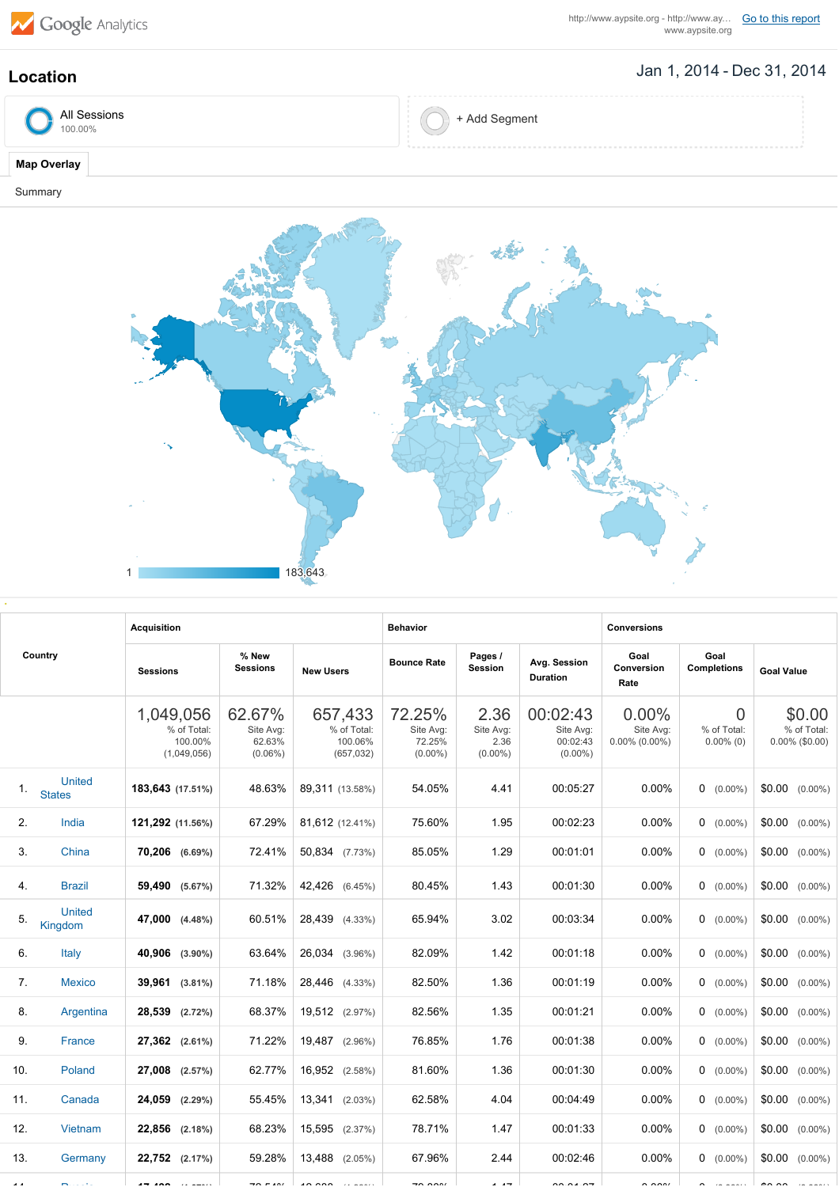

http://www.aypsite.org - http://www.ay... **Go to this [report](https://www.google.com/analytics/web/?utm_source=pdfReportLink#report/visitors-geo/a2184169w3912412p4016214/%3F_u.date00%3D20140101%26_u.date01%3D20141231%26geo-table.plotKeys%3D%5B%5D%26geo-table.rowStart%3D0%26geo-table.rowCount%3D250/)**<br>www.aypsite.org

## Jan 1, 2014 Dec 31, 2014 **Location**

| All Sessions<br>100.00% | + Add Segment |
|-------------------------|---------------|
|-------------------------|---------------|

## **Map Overlay**

Summary



| Country        |                                | <b>Acquisition</b>                                 |                                              |                                                 | <b>Behavior</b>                             |                                         |                                                 | <b>Conversions</b>                     |                                               |                                            |  |
|----------------|--------------------------------|----------------------------------------------------|----------------------------------------------|-------------------------------------------------|---------------------------------------------|-----------------------------------------|-------------------------------------------------|----------------------------------------|-----------------------------------------------|--------------------------------------------|--|
|                |                                | <b>Sessions</b>                                    | % New<br><b>Sessions</b><br><b>New Users</b> |                                                 | Pages /<br><b>Bounce Rate</b><br>Session    |                                         | Avg. Session<br><b>Duration</b>                 | Goal<br>Conversion<br>Rate             | Goal<br><b>Completions</b>                    | <b>Goal Value</b>                          |  |
|                |                                | 1,049,056<br>% of Total:<br>100.00%<br>(1,049,056) | 62.67%<br>Site Avg:<br>62.63%<br>$(0.06\%)$  | 657,433<br>% of Total:<br>100.06%<br>(657, 032) | 72.25%<br>Site Avg:<br>72.25%<br>$(0.00\%)$ | 2.36<br>Site Avg:<br>2.36<br>$(0.00\%)$ | 00:02:43<br>Site Avg:<br>00:02:43<br>$(0.00\%)$ | 0.00%<br>Site Avg:<br>$0.00\%$ (0.00%) | $\overline{0}$<br>% of Total:<br>$0.00\%$ (0) | \$0.00<br>% of Total:<br>$0.00\%$ (\$0.00) |  |
| $\mathbf{1}$ . | <b>United</b><br><b>States</b> | 183,643 (17.51%)                                   | 48.63%                                       | 89,311 (13.58%)                                 | 54.05%                                      | 4.41                                    | 00:05:27                                        | $0.00\%$                               | $0$ (0.00%)                                   | $$0.00$ $(0.00\%)$                         |  |
| 2.             | India                          | 121,292 (11.56%)                                   | 67.29%                                       | 81,612 (12.41%)                                 | 75.60%                                      | 1.95                                    | 00:02:23                                        | $0.00\%$                               | $0$ (0.00%)                                   | \$0.00<br>$(0.00\%)$                       |  |
| 3.             | China                          | 70,206 (6.69%)                                     | 72.41%                                       | 50,834 (7.73%)                                  | 85.05%                                      | 1.29                                    | 00:01:01                                        | $0.00\%$                               | $0$ (0.00%)                                   | $$0.00$ $(0.00\%)$                         |  |
| 4.             | <b>Brazil</b>                  | 59,490 (5.67%)                                     | 71.32%                                       | 42,426 (6.45%)                                  | 80.45%                                      | 1.43                                    | 00:01:30                                        | 0.00%                                  | $0$ (0.00%)                                   | $$0.00$ $(0.00\%)$                         |  |
| 5.             | <b>United</b><br>Kingdom       | 47,000 (4.48%)                                     | 60.51%                                       | 28,439 (4.33%)                                  | 65.94%                                      | 3.02                                    | 00:03:34                                        | 0.00%                                  | $0$ (0.00%)                                   | \$0.00<br>$(0.00\%)$                       |  |
| 6.             | Italy                          | 40,906 (3.90%)                                     | 63.64%                                       | 26,034 (3.96%)                                  | 82.09%                                      | 1.42                                    | 00:01:18                                        | 0.00%                                  | $0$ (0.00%)                                   | \$0.00<br>$(0.00\%)$                       |  |
| 7 <sub>1</sub> | <b>Mexico</b>                  | 39,961 (3.81%)                                     | 71.18%                                       | 28,446 (4.33%)                                  | 82.50%                                      | 1.36                                    | 00:01:19                                        | $0.00\%$                               | $0$ (0.00%)                                   | \$0.00<br>$(0.00\%)$                       |  |
| 8.             | Argentina                      | 28,539 (2.72%)                                     | 68.37%                                       | 19,512 (2.97%)                                  | 82.56%                                      | 1.35                                    | 00:01:21                                        | 0.00%                                  | $0$ (0.00%)                                   | \$0.00<br>$(0.00\%)$                       |  |
| 9.             | France                         | 27,362 (2.61%)                                     | 71.22%                                       | 19,487 (2.96%)                                  | 76.85%                                      | 1.76                                    | 00:01:38                                        | 0.00%                                  | $0$ (0.00%)                                   | \$0.00<br>$(0.00\%)$                       |  |
| 10.            | Poland                         | 27,008 (2.57%)                                     | 62.77%                                       | 16,952 (2.58%)                                  | 81.60%                                      | 1.36                                    | 00:01:30                                        | 0.00%                                  | $0$ (0.00%)                                   | \$0.00<br>$(0.00\%)$                       |  |
| 11.            | Canada                         | 24,059 (2.29%)                                     | 55.45%                                       | 13,341 (2.03%)                                  | 62.58%                                      | 4.04                                    | 00:04:49                                        | $0.00\%$                               | $0$ (0.00%)                                   | $$0.00$ $(0.00\%)$                         |  |
| 12.            | Vietnam                        | 22,856 (2.18%)                                     | 68.23%                                       | 15,595 (2.37%)                                  | 78.71%                                      | 1.47                                    | 00:01:33                                        | 0.00%                                  | $0$ (0.00%)                                   | \$0.00<br>$(0.00\%)$                       |  |
| 13.            | Germany                        | 22,752 (2.17%)                                     | 59.28%                                       | 13,488 (2.05%)                                  | 67.96%                                      | 2.44                                    | 00:02:46                                        | 0.00%                                  | $0$ (0.00%)                                   | \$0.00<br>$(0.00\%)$                       |  |
|                |                                | $- - - -$                                          | $- - - - -$                                  | $\sim$ 000                                      | $\rightarrow$ $\rightarrow$                 | $\sim$ $\sim$                           | $- - - - -$                                     | $\sim$ $\sim$ $\sim$                   |                                               | $\sim$ $\sim$                              |  |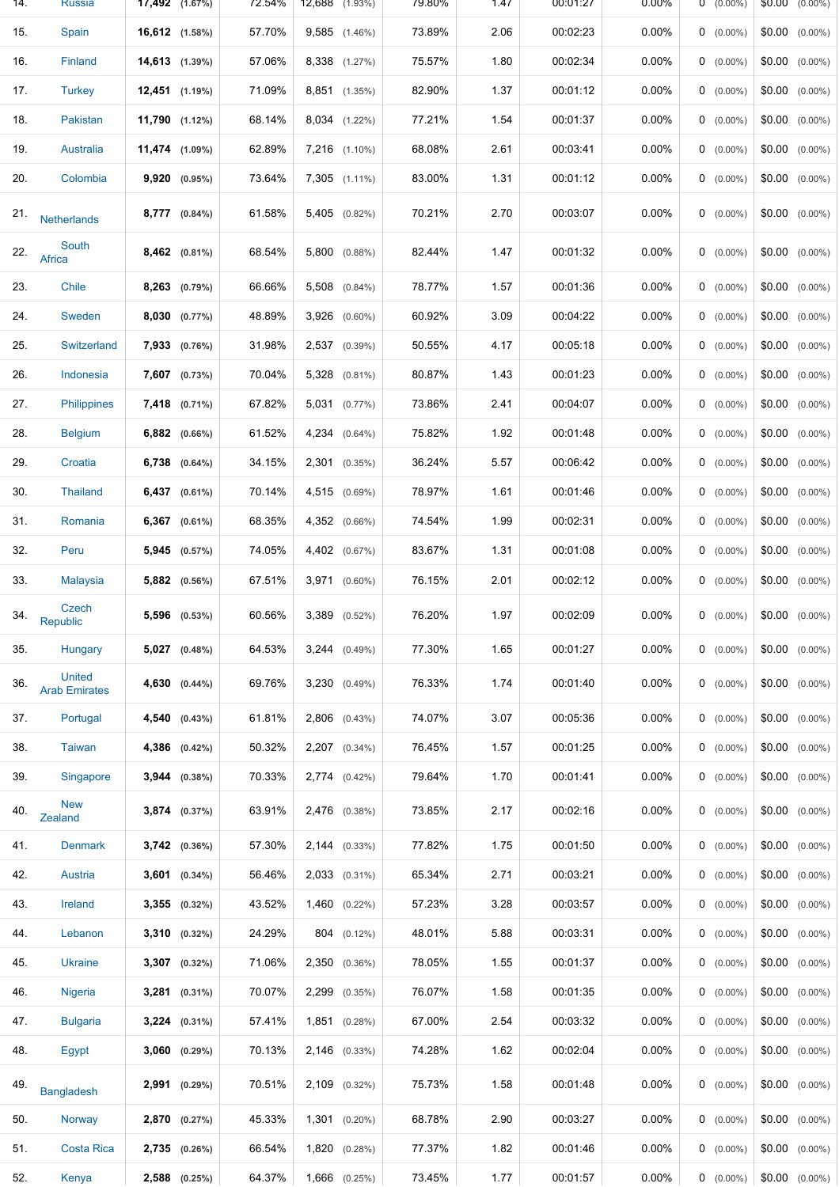| 14. | <b>Russia</b>                         | $17,492$ $(1.67\%)$ | 72.54% | 12,688 (1.93%)      | 79.80% | 1.47 | 00:01:27 | $0.00\%$ | $0 (0.00\%)$ | $$0.00 \quad (0.00\%)$ |
|-----|---------------------------------------|---------------------|--------|---------------------|--------|------|----------|----------|--------------|------------------------|
| 15. | Spain                                 | 16,612 (1.58%)      | 57.70% | 9,585 (1.46%)       | 73.89% | 2.06 | 00:02:23 | 0.00%    | $0$ (0.00%)  | $$0.00$ $(0.00\%)$     |
| 16. | <b>Finland</b>                        | 14,613 (1.39%)      | 57.06% | 8,338 (1.27%)       | 75.57% | 1.80 | 00:02:34 | $0.00\%$ | $0$ (0.00%)  | $$0.00$ $(0.00\%)$     |
| 17. | <b>Turkey</b>                         | $12,451$ $(1.19\%)$ | 71.09% | 8,851 (1.35%)       | 82.90% | 1.37 | 00:01:12 | $0.00\%$ | $0$ (0.00%)  | $$0.00$ $(0.00\%)$     |
| 18. | Pakistan                              | 11,790 (1.12%)      | 68.14% | 8,034 (1.22%)       | 77.21% | 1.54 | 00:01:37 | $0.00\%$ | $0$ (0.00%)  | $$0.00$ $(0.00\%)$     |
| 19. | Australia                             | 11,474 (1.09%)      | 62.89% | 7,216 (1.10%)       | 68.08% | 2.61 | 00:03:41 | 0.00%    | $0$ (0.00%)  | $$0.00$ $(0.00\%)$     |
| 20. | Colombia                              | $9,920$ $(0.95\%)$  | 73.64% | 7,305 (1.11%)       | 83.00% | 1.31 | 00:01:12 | $0.00\%$ | $0$ (0.00%)  | $$0.00$ $(0.00\%)$     |
| 21. | <b>Netherlands</b>                    | 8,777 (0.84%)       | 61.58% | 5,405<br>$(0.82\%)$ | 70.21% | 2.70 | 00:03:07 | $0.00\%$ | $0$ (0.00%)  | $$0.00$ $(0.00\%)$     |
| 22. | South<br>Africa                       | $8,462$ $(0.81\%)$  | 68.54% | $5,800$ $(0.88\%)$  | 82.44% | 1.47 | 00:01:32 | $0.00\%$ | $0$ (0.00%)  | $$0.00$ $(0.00\%)$     |
| 23. | Chile                                 | 8,263 (0.79%)       | 66.66% | 5,508<br>$(0.84\%)$ | 78.77% | 1.57 | 00:01:36 | 0.00%    | $0$ (0.00%)  | $$0.00$ $(0.00\%)$     |
| 24. | Sweden                                | $8,030$ $(0.77\%)$  | 48.89% | 3,926<br>$(0.60\%)$ | 60.92% | 3.09 | 00:04:22 | $0.00\%$ | $0$ (0.00%)  | $$0.00$ $(0.00\%)$     |
| 25. | <b>Switzerland</b>                    | 7,933 (0.76%)       | 31.98% | 2,537 (0.39%)       | 50.55% | 4.17 | 00:05:18 | $0.00\%$ | $0$ (0.00%)  | $$0.00$ $(0.00\%)$     |
| 26. | Indonesia                             | 7,607 (0.73%)       | 70.04% | 5,328 (0.81%)       | 80.87% | 1.43 | 00:01:23 | $0.00\%$ | $0$ (0.00%)  | $$0.00$ $(0.00\%)$     |
| 27. | <b>Philippines</b>                    | 7,418 (0.71%)       | 67.82% | 5,031 (0.77%)       | 73.86% | 2.41 | 00:04:07 | 0.00%    | $0$ (0.00%)  | $$0.00$ $(0.00\%)$     |
| 28. | <b>Belgium</b>                        | $6,882$ $(0.66\%)$  | 61.52% | 4,234 (0.64%)       | 75.82% | 1.92 | 00:01:48 | $0.00\%$ | $0$ (0.00%)  | $$0.00$ $(0.00\%)$     |
| 29. | Croatia                               | $6,738$ $(0.64\%)$  | 34.15% | $2,301$ $(0.35\%)$  | 36.24% | 5.57 | 00:06:42 | $0.00\%$ | $0$ (0.00%)  | $$0.00$ $(0.00\%)$     |
| 30. | <b>Thailand</b>                       | $6,437$ $(0.61\%)$  | 70.14% | 4,515 (0.69%)       | 78.97% | 1.61 | 00:01:46 | $0.00\%$ | $0$ (0.00%)  | $$0.00$ $(0.00\%)$     |
| 31. | Romania                               | $6,367$ $(0.61\%)$  | 68.35% | 4,352 (0.66%)       | 74.54% | 1.99 | 00:02:31 | 0.00%    | $0$ (0.00%)  | $$0.00$ $(0.00\%)$     |
| 32. | Peru                                  | 5,945 (0.57%)       | 74.05% | 4,402 (0.67%)       | 83.67% | 1.31 | 00:01:08 | $0.00\%$ | $0$ (0.00%)  | $$0.00$ $(0.00\%)$     |
| 33. | <b>Malaysia</b>                       | $5,882$ $(0.56\%)$  | 67.51% | 3,971 (0.60%)       | 76.15% | 2.01 | 00:02:12 | $0.00\%$ | $0$ (0.00%)  | $$0.00$ $(0.00\%)$     |
| 34. | Czech<br>Republic                     | 5,596 (0.53%)       | 60.56% | 3,389<br>$(0.52\%)$ | 76.20% | 1.97 | 00:02:09 | 0.00%    | $0$ (0.00%)  | $$0.00$ $(0.00\%)$     |
| 35. | Hungary                               | $5,027$ $(0.48\%)$  | 64.53% | $3,244$ $(0.49\%)$  | 77.30% | 1.65 | 00:01:27 | 0.00%    | $0$ (0.00%)  | $$0.00$ $(0.00\%)$     |
| 36. | <b>United</b><br><b>Arab Emirates</b> | 4,630 (0.44%)       | 69.76% | $3,230$ $(0.49\%)$  | 76.33% | 1.74 | 00:01:40 | $0.00\%$ | $0$ (0.00%)  | $$0.00$ $(0.00\%)$     |
| 37. | Portugal                              | 4,540 (0.43%)       | 61.81% | 2,806 (0.43%)       | 74.07% | 3.07 | 00:05:36 | 0.00%    | $0$ (0.00%)  | $$0.00$ $(0.00\%)$     |
| 38. | Taiwan                                | 4,386 (0.42%)       | 50.32% | $2,207$ $(0.34\%)$  | 76.45% | 1.57 | 00:01:25 | $0.00\%$ | $0$ (0.00%)  | $$0.00$ $(0.00\%)$     |
| 39. | Singapore                             | $3,944$ $(0.38\%)$  | 70.33% | $2,774$ $(0.42\%)$  | 79.64% | 1.70 | 00:01:41 | $0.00\%$ | $0$ (0.00%)  | $$0.00$ $(0.00\%)$     |
| 40. | <b>New</b><br>Zealand                 | $3,874$ $(0.37\%)$  | 63.91% | 2,476 (0.38%)       | 73.85% | 2.17 | 00:02:16 | $0.00\%$ | $0$ (0.00%)  | $$0.00$ $(0.00\%)$     |
| 41. | <b>Denmark</b>                        | 3,742 (0.36%)       | 57.30% | $2,144$ $(0.33\%)$  | 77.82% | 1.75 | 00:01:50 | $0.00\%$ | $0$ (0.00%)  | $$0.00$ $(0.00\%)$     |
| 42. | Austria                               | $3,601$ $(0.34\%)$  | 56.46% | 2,033 (0.31%)       | 65.34% | 2.71 | 00:03:21 | $0.00\%$ | $0$ (0.00%)  | $$0.00$ $(0.00\%)$     |
| 43. | Ireland                               | $3,355$ $(0.32\%)$  | 43.52% | $1,460$ $(0.22\%)$  | 57.23% | 3.28 | 00:03:57 | 0.00%    | $0$ (0.00%)  | $$0.00$ $(0.00\%)$     |
| 44. | Lebanon                               | $3,310$ $(0.32\%)$  | 24.29% | 804 (0.12%)         | 48.01% | 5.88 | 00:03:31 | $0.00\%$ | $0$ (0.00%)  | $$0.00$ $(0.00\%)$     |
| 45. | <b>Ukraine</b>                        | $3,307$ $(0.32\%)$  | 71.06% | 2,350<br>$(0.36\%)$ | 78.05% | 1.55 | 00:01:37 | $0.00\%$ | $0$ (0.00%)  | $$0.00$ $(0.00\%)$     |
| 46. | Nigeria                               | $3,281$ $(0.31\%)$  | 70.07% | 2,299<br>$(0.35\%)$ | 76.07% | 1.58 | 00:01:35 | $0.00\%$ | $0$ (0.00%)  | $$0.00$ $(0.00\%)$     |
| 47. | <b>Bulgaria</b>                       | $3,224$ $(0.31\%)$  | 57.41% | $1,851$ $(0.28\%)$  | 67.00% | 2.54 | 00:03:32 | 0.00%    | $0$ (0.00%)  | $$0.00$ $(0.00\%)$     |
| 48. | Egypt                                 | $3,060$ $(0.29\%)$  | 70.13% | 2,146 (0.33%)       | 74.28% | 1.62 | 00:02:04 | $0.00\%$ | $0$ (0.00%)  | $$0.00$ $(0.00\%)$     |
| 49. | <b>Bangladesh</b>                     | 2,991 (0.29%)       | 70.51% | 2,109 (0.32%)       | 75.73% | 1.58 | 00:01:48 | $0.00\%$ | $0$ (0.00%)  | $$0.00$ $(0.00\%)$     |
| 50. | Norway                                | 2,870 (0.27%)       | 45.33% | $1,301$ $(0.20\%)$  | 68.78% | 2.90 | 00:03:27 | $0.00\%$ | $0$ (0.00%)  | $$0.00$ $(0.00\%)$     |
| 51. | Costa Rica                            | $2,735$ (0.26%)     | 66.54% | 1,820<br>(0.28%)    | 77.37% | 1.82 | 00:01:46 | $0.00\%$ | $0$ (0.00%)  | $$0.00$ $(0.00\%)$     |
| 52. | Kenya                                 | 2,588 (0.25%)       | 64.37% | 1,666 (0.25%)       | 73.45% | 1.77 | 00:01:57 | 0.00%    | $0 (0.00\%)$ | $$0.00$ $(0.00\%)$     |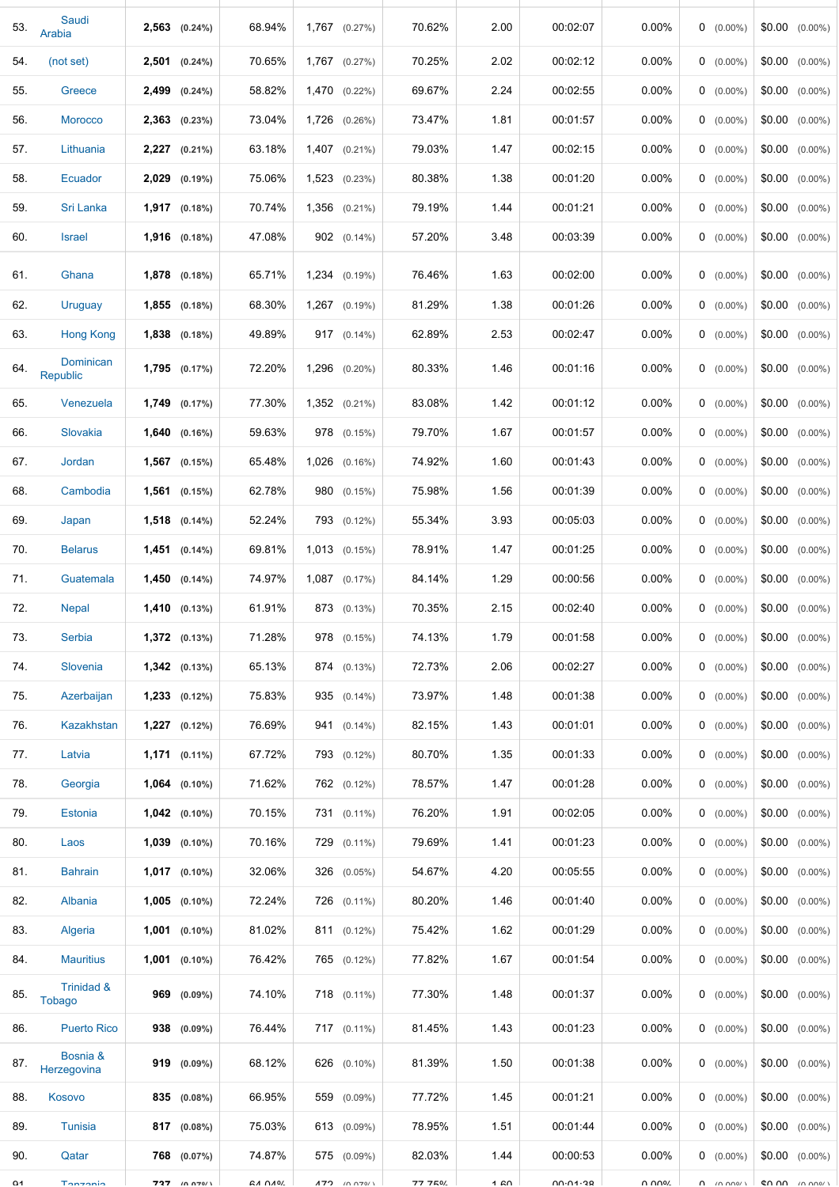| 53.        | Saudi<br>Arabia             | $2,563$ $(0.24\%)$ | 68.94%        | $1,767$ $(0.27\%)$  | 70.62%  | 2.00 | 00:02:07 | 0.00%    | $0$ (0.00%)        | $$0.00$ $(0.00\%)$   |
|------------|-----------------------------|--------------------|---------------|---------------------|---------|------|----------|----------|--------------------|----------------------|
| 54.        | (not set)                   | $2,501$ $(0.24\%)$ | 70.65%        | 1,767 (0.27%)       | 70.25%  | 2.02 | 00:02:12 | 0.00%    | $0$ (0.00%)        | $$0.00$ $(0.00\%)$   |
| 55.        | Greece                      | $2,499$ $(0.24\%)$ | 58.82%        | 1,470 (0.22%)       | 69.67%  | 2.24 | 00:02:55 | $0.00\%$ | $0$ (0.00%)        | $$0.00$ $(0.00\%)$   |
| 56.        | <b>Morocco</b>              | $2,363$ $(0.23\%)$ | 73.04%        | 1,726 (0.26%)       | 73.47%  | 1.81 | 00:01:57 | $0.00\%$ | $0$ (0.00%)        | $$0.00$ $(0.00\%)$   |
| 57.        | Lithuania                   | 2,227 (0.21%)      | 63.18%        | 1,407 (0.21%)       | 79.03%  | 1.47 | 00:02:15 | $0.00\%$ | $0$ (0.00%)        | $$0.00$ $(0.00\%)$   |
| 58.        | Ecuador                     | 2,029 (0.19%)      | 75.06%        | 1,523 (0.23%)       | 80.38%  | 1.38 | 00:01:20 | 0.00%    | $0$ (0.00%)        | $$0.00$ $(0.00\%)$   |
| 59.        | Sri Lanka                   | $1,917$ $(0.18\%)$ | 70.74%        | 1,356 (0.21%)       | 79.19%  | 1.44 | 00:01:21 | 0.00%    | $0$ (0.00%)        | $$0.00$ $(0.00\%)$   |
| 60.        | <b>Israel</b>               | $1,916$ $(0.18\%)$ | 47.08%        | 902 (0.14%)         | 57.20%  | 3.48 | 00:03:39 | $0.00\%$ | $0$ (0.00%)        | $$0.00$ $(0.00\%)$   |
| 61.        | Ghana                       | 1,878 (0.18%)      | 65.71%        | 1,234 (0.19%)       | 76.46%  | 1.63 | 00:02:00 | 0.00%    | $0$ (0.00%)        | $$0.00$ $(0.00\%)$   |
| 62.        | Uruguay                     | $1,855$ $(0.18\%)$ | 68.30%        | 1,267 (0.19%)       | 81.29%  | 1.38 | 00:01:26 | $0.00\%$ | $0$ (0.00%)        | $$0.00$ $(0.00\%)$   |
| 63.        | <b>Hong Kong</b>            | $1,838$ $(0.18\%)$ | 49.89%        | 917 (0.14%)         | 62.89%  | 2.53 | 00:02:47 | 0.00%    | $0$ (0.00%)        | $$0.00$ $(0.00\%)$   |
| 64.        | Dominican<br>Republic       | 1,795 (0.17%)      | 72.20%        | 1,296 (0.20%)       | 80.33%  | 1.46 | 00:01:16 | $0.00\%$ | $0$ (0.00%)        | $$0.00$ $(0.00\%)$   |
| 65.        | Venezuela                   | 1,749 (0.17%)      | 77.30%        | 1,352 (0.21%)       | 83.08%  | 1.42 | 00:01:12 | 0.00%    | $0$ (0.00%)        | $$0.00$ $(0.00\%)$   |
| 66.        | Slovakia                    | $1,640$ $(0.16\%)$ | 59.63%        | 978 (0.15%)         | 79.70%  | 1.67 | 00:01:57 | 0.00%    | $0$ (0.00%)        | $$0.00$ $(0.00\%)$   |
| 67.        | Jordan                      | $1,567$ (0.15%)    | 65.48%        | $1,026$ $(0.16\%)$  | 74.92%  | 1.60 | 00:01:43 | 0.00%    | $0$ (0.00%)        | $$0.00$ $(0.00\%)$   |
| 68.        | Cambodia                    | $1,561$ (0.15%)    | 62.78%        | 980 (0.15%)         | 75.98%  | 1.56 | 00:01:39 | $0.00\%$ | $0$ (0.00%)        | $$0.00$ $(0.00\%)$   |
| 69.        | Japan                       | $1,518$ $(0.14\%)$ | 52.24%        | 793 (0.12%)         | 55.34%  | 3.93 | 00:05:03 | $0.00\%$ | $0$ (0.00%)        | $$0.00$ $(0.00\%)$   |
| 70.        | <b>Belarus</b>              | $1,451$ (0.14%)    | 69.81%        | 1,013 (0.15%)       | 78.91%  | 1.47 | 00:01:25 | 0.00%    | $0$ (0.00%)        | $$0.00$ $(0.00\%)$   |
| 71.        | Guatemala                   | $1,450$ $(0.14\%)$ | 74.97%        | $1,087$ $(0.17\%)$  | 84.14%  | 1.29 | 00:00:56 | 0.00%    | $0$ (0.00%)        | $$0.00$ $(0.00\%)$   |
| 72.        | <b>Nepal</b>                | $1,410$ $(0.13\%)$ | 61.91%        | 873 (0.13%)         | 70.35%  | 2.15 | 00:02:40 | $0.00\%$ | $0$ (0.00%)        | \$0.00<br>$(0.00\%)$ |
| 73.        | Serbia                      | $1,372$ (0.13%)    | 71.28%        | 978 (0.15%)         | 74.13%  | 1.79 | 00:01:58 | 0.00%    | $0 (0.00\%)$       | $$0.00$ $(0.00\%)$   |
| 74.        | <b>Slovenia</b>             | $1,342$ (0.13%)    | 65.13%        | 874 (0.13%)         | 72.73%  | 2.06 | 00:02:27 | 0.00%    | $0$ (0.00%)        | $$0.00$ $(0.00\%)$   |
| 75.        | Azerbaijan                  | $1,233$ $(0.12\%)$ | 75.83%        | 935 (0.14%)         | 73.97%  | 1.48 | 00:01:38 | $0.00\%$ | $0$ (0.00%)        | $$0.00$ $(0.00\%)$   |
| 76.        | Kazakhstan                  | $1,227$ $(0.12\%)$ | 76.69%        | 941 (0.14%)         | 82.15%  | 1.43 | 00:01:01 | $0.00\%$ | $0$ (0.00%)        | $$0.00$ $(0.00\%)$   |
| 77.        | Latvia                      | $1,171$ (0.11%)    | 67.72%        | 793 (0.12%)         | 80.70%  | 1.35 | 00:01:33 | $0.00\%$ | $0$ (0.00%)        | $$0.00$ $(0.00\%)$   |
| 78.        | Georgia                     | $1,064$ $(0.10\%)$ | 71.62%        | 762 (0.12%)         | 78.57%  | 1.47 | 00:01:28 | $0.00\%$ | $0$ (0.00%)        | $$0.00$ $(0.00\%)$   |
| 79.        | <b>Estonia</b>              | $1,042$ (0.10%)    | 70.15%        | 731 (0.11%)         | 76.20%  | 1.91 | 00:02:05 | $0.00\%$ | $0$ (0.00%)        | $$0.00$ $(0.00\%)$   |
| 80.        | Laos                        | $1,039$ $(0.10\%)$ | 70.16%        | 729 (0.11%)         | 79.69%  | 1.41 | 00:01:23 | 0.00%    | $0$ (0.00%)        | $$0.00$ $(0.00\%)$   |
| 81.        | <b>Bahrain</b>              | $1,017$ $(0.10\%)$ | 32.06%        | 326 (0.05%)         | 54.67%  | 4.20 | 00:05:55 | $0.00\%$ | $0$ (0.00%)        | $$0.00$ $(0.00\%)$   |
| 82.        | Albania                     | $1,005$ $(0.10\%)$ | 72.24%        | 726 (0.11%)         | 80.20%  | 1.46 | 00:01:40 | $0.00\%$ | $0$ (0.00%)        | $$0.00$ $(0.00\%)$   |
| 83.        | Algeria                     | $1,001$ (0.10%)    | 81.02%        | 811 (0.12%)         | 75.42%  | 1.62 | 00:01:29 | $0.00\%$ | $0$ (0.00%)        | $$0.00$ $(0.00\%)$   |
| 84.        | <b>Mauritius</b>            | $1,001$ $(0.10\%)$ | 76.42%        | 765 (0.12%)         | 77.82%  | 1.67 | 00:01:54 | 0.00%    | $0$ (0.00%)        | $$0.00$ $(0.00\%)$   |
| 85.        | Trinidad &<br><b>Tobago</b> | 969 (0.09%)        | 74.10%        | 718 (0.11%)         | 77.30%  | 1.48 | 00:01:37 | 0.00%    | $0$ (0.00%)        | $$0.00$ $(0.00\%)$   |
| 86.        | <b>Puerto Rico</b>          | 938 (0.09%)        | 76.44%        | 717 (0.11%)         | 81.45%  | 1.43 | 00:01:23 | 0.00%    | $0$ (0.00%)        | $$0.00$ $(0.00\%)$   |
| 87.        | Bosnia &<br>Herzegovina     | 919 (0.09%)        | 68.12%        | 626 (0.10%)         | 81.39%  | 1.50 | 00:01:38 | $0.00\%$ | $0$ (0.00%)        | $$0.00$ $(0.00\%)$   |
| 88.        | Kosovo                      | 835 (0.08%)        | 66.95%        | 559 (0.09%)         | 77.72%  | 1.45 | 00:01:21 | 0.00%    | $0$ (0.00%)        | $$0.00$ $(0.00\%)$   |
| 89.        | <b>Tunisia</b>              | 817 (0.08%)        | 75.03%        | 613 (0.09%)         | 78.95%  | 1.51 | 00:01:44 | 0.00%    | $0$ (0.00%)        | $$0.00$ $(0.00\%)$   |
| 90.        | Qatar                       | 768 (0.07%)        | 74.87%        | 575 (0.09%)         | 82.03%  | 1.44 | 00:00:53 | $0.00\%$ | $0$ (0.00%)        | $$0.00$ $(0.00\%)$   |
| $^{\circ}$ | Tonzonio                    | $727$ (0.070/1     | $C A$ $A$ $A$ | $172 \t\times 0701$ | 77 750/ | 1.60 | 00.01.20 | U UU0\   | $\Omega$ $(0.000)$ | $CD$ $AD$ $(0.000)$  |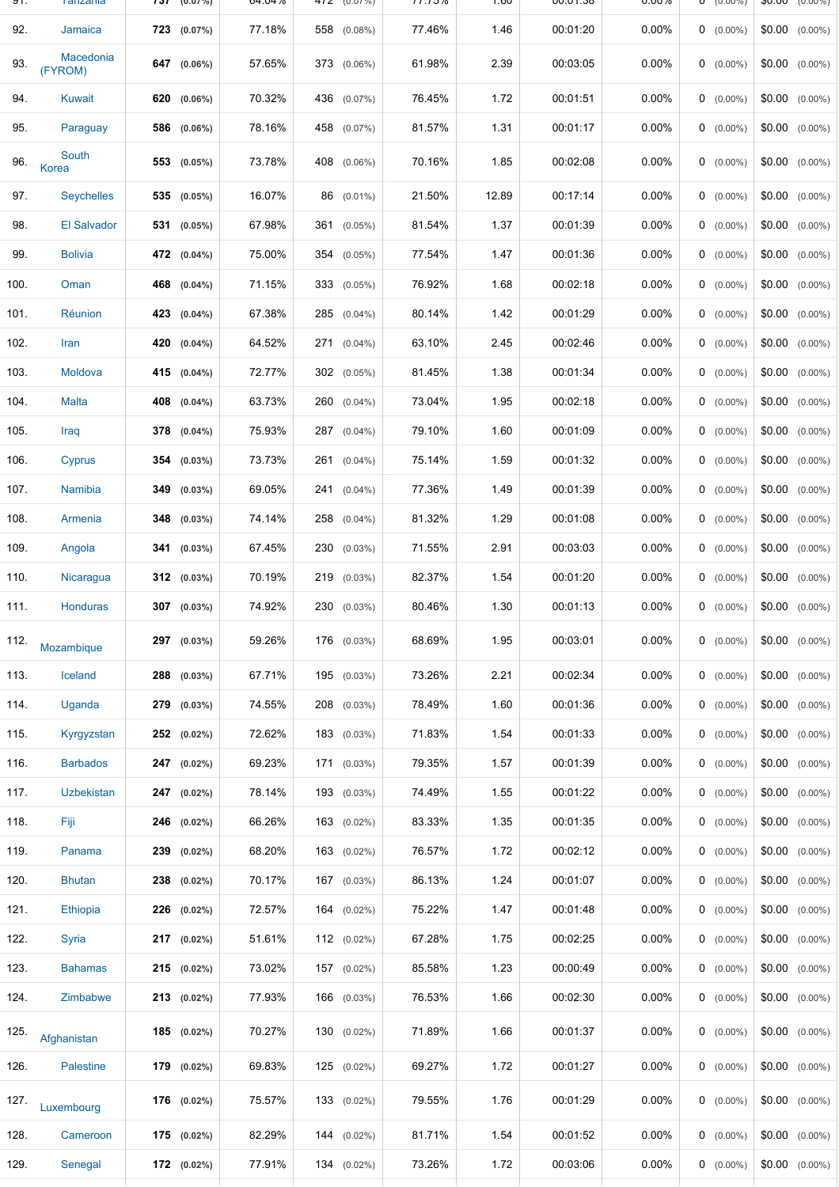| ອ ເ. | <u>i</u> diizdiiid   | 1 J L | (U.U.70)         | <b>04.0470</b> | 47Z (U.U7%)       | 11.1370 | <b>UO.I</b> | 00.UT.00 | <b>U.UU70</b> | (U.UU%)     | OU.UU<br>(U.UU%)     |
|------|----------------------|-------|------------------|----------------|-------------------|---------|-------------|----------|---------------|-------------|----------------------|
| 92.  | Jamaica              |       | 723 (0.07%)      | 77.18%         | 558 (0.08%)       | 77.46%  | 1.46        | 00:01:20 | 0.00%         | $0$ (0.00%) | $$0.00$ $(0.00\%)$   |
| 93.  | Macedonia<br>(FYROM) |       | 647 (0.06%)      | 57.65%         | 373 (0.06%)       | 61.98%  | 2.39        | 00:03:05 | 0.00%         | $0$ (0.00%) | $$0.00$ $(0.00\%)$   |
| 94.  | <b>Kuwait</b>        |       | 620 (0.06%)      | 70.32%         | 436 (0.07%)       | 76.45%  | 1.72        | 00:01:51 | 0.00%         | $0$ (0.00%) | $$0.00$ $(0.00\%)$   |
| 95.  | Paraguay             |       | 586 (0.06%)      | 78.16%         | 458 (0.07%)       | 81.57%  | 1.31        | 00:01:17 | $0.00\%$      | $0$ (0.00%) | $$0.00$ $(0.00\%)$   |
| 96.  | South<br>Korea       |       | 553 (0.05%)      | 73.78%         | 408 (0.06%)       | 70.16%  | 1.85        | 00:02:08 | $0.00\%$      | $0$ (0.00%) | $$0.00$ $(0.00\%)$   |
| 97.  | <b>Seychelles</b>    |       | 535 (0.05%)      | 16.07%         | 86 (0.01%)        | 21.50%  | 12.89       | 00:17:14 | 0.00%         | $0$ (0.00%) | $$0.00$ $(0.00\%)$   |
| 98.  | <b>El Salvador</b>   |       | 531 (0.05%)      | 67.98%         | 361<br>$(0.05\%)$ | 81.54%  | 1.37        | 00:01:39 | $0.00\%$      | $0$ (0.00%) | $$0.00$ $(0.00\%)$   |
| 99.  | <b>Bolivia</b>       |       | 472 (0.04%)      | 75.00%         | 354 (0.05%)       | 77.54%  | 1.47        | 00:01:36 | 0.00%         | $0$ (0.00%) | $$0.00$ $(0.00\%)$   |
| 100. | Oman                 |       | 468 (0.04%)      | 71.15%         | 333 (0.05%)       | 76.92%  | 1.68        | 00:02:18 | 0.00%         | $0$ (0.00%) | $$0.00$ $(0.00\%)$   |
| 101. | Réunion              |       | 423 (0.04%)      | 67.38%         | 285 (0.04%)       | 80.14%  | 1.42        | 00:01:29 | 0.00%         | $0$ (0.00%) | $$0.00$ $(0.00\%)$   |
| 102. | Iran                 |       | 420 (0.04%)      | 64.52%         | 271 (0.04%)       | 63.10%  | 2.45        | 00:02:46 | 0.00%         | $0$ (0.00%) | $$0.00$ $(0.00\%)$   |
| 103. | Moldova              |       | 415 (0.04%)      | 72.77%         | 302 (0.05%)       | 81.45%  | 1.38        | 00:01:34 | 0.00%         | $0$ (0.00%) | $$0.00$ $(0.00\%)$   |
| 104. | <b>Malta</b>         |       | 408 (0.04%)      | 63.73%         | 260 (0.04%)       | 73.04%  | 1.95        | 00:02:18 | 0.00%         | $0$ (0.00%) | $$0.00$ $(0.00\%)$   |
| 105. | Iraq                 |       | $378$ $(0.04\%)$ | 75.93%         | 287 (0.04%)       | 79.10%  | 1.60        | 00:01:09 | $0.00\%$      | $0$ (0.00%) | $$0.00$ $(0.00\%)$   |
| 106. | Cyprus               |       | 354 (0.03%)      | 73.73%         | 261 (0.04%)       | 75.14%  | 1.59        | 00:01:32 | 0.00%         | $0$ (0.00%) | $$0.00$ $(0.00\%)$   |
| 107. | Namibia              | 349   | $(0.03\%)$       | 69.05%         | 241 (0.04%)       | 77.36%  | 1.49        | 00:01:39 | $0.00\%$      | $0$ (0.00%) | $$0.00$ $(0.00\%)$   |
| 108. | Armenia              |       | $348$ (0.03%)    | 74.14%         | 258 (0.04%)       | 81.32%  | 1.29        | 00:01:08 | $0.00\%$      | $0$ (0.00%) | $$0.00$ $(0.00\%)$   |
| 109. | Angola               |       | 341 (0.03%)      | 67.45%         | 230 (0.03%)       | 71.55%  | 2.91        | 00:03:03 | $0.00\%$      | $0$ (0.00%) | $$0.00$ $(0.00\%)$   |
| 110. | Nicaragua            |       | 312 (0.03%)      | 70.19%         | 219 (0.03%)       | 82.37%  | 1.54        | 00:01:20 | $0.00\%$      | $0$ (0.00%) | $$0.00$ $(0.00\%)$   |
| 111. | <b>Honduras</b>      |       | 307 (0.03%)      | 74.92%         | 230 (0.03%)       | 80.46%  | 1.30        | 00:01:13 | 0.00%         | $0$ (0.00%) | \$0.00<br>$(0.00\%)$ |
| 112. | Mozambique           |       | 297 (0.03%)      | 59.26%         | 176 (0.03%)       | 68.69%  | 1.95        | 00:03:01 | $0.00\%$      | $0$ (0.00%) | $$0.00$ $(0.00\%)$   |
| 113. | Iceland              |       | 288 (0.03%)      | 67.71%         | 195 (0.03%)       | 73.26%  | 2.21        | 00:02:34 | $0.00\%$      | $0$ (0.00%) | $$0.00$ $(0.00\%)$   |
| 114. | Uganda               |       | 279 (0.03%)      | 74.55%         | 208 (0.03%)       | 78.49%  | 1.60        | 00:01:36 | $0.00\%$      | $0$ (0.00%) | $$0.00$ $(0.00\%)$   |
| 115. | Kyrgyzstan           |       | 252 (0.02%)      | 72.62%         | 183 (0.03%)       | 71.83%  | 1.54        | 00:01:33 | $0.00\%$      | $0$ (0.00%) | $$0.00$ $(0.00\%)$   |
| 116. | <b>Barbados</b>      |       | $247$ (0.02%)    | 69.23%         | $171$ (0.03%)     | 79.35%  | 1.57        | 00:01:39 | $0.00\%$      | $0$ (0.00%) | $$0.00$ $(0.00\%)$   |
| 117. | <b>Uzbekistan</b>    |       | 247 (0.02%)      | 78.14%         | 193 (0.03%)       | 74.49%  | 1.55        | 00:01:22 | $0.00\%$      | $0$ (0.00%) | $$0.00$ $(0.00\%)$   |
| 118. | Fiji                 |       | $246$ (0.02%)    | 66.26%         | 163 (0.02%)       | 83.33%  | 1.35        | 00:01:35 | $0.00\%$      | $0$ (0.00%) | $$0.00$ $(0.00\%)$   |
| 119. | Panama               |       | 239 (0.02%)      | 68.20%         | 163 (0.02%)       | 76.57%  | 1.72        | 00:02:12 | $0.00\%$      | $0$ (0.00%) | $$0.00$ $(0.00\%)$   |
| 120. | <b>Bhutan</b>        |       | 238 (0.02%)      | 70.17%         | 167 (0.03%)       | 86.13%  | 1.24        | 00:01:07 | $0.00\%$      | $0$ (0.00%) | $$0.00$ $(0.00\%)$   |
| 121. | <b>Ethiopia</b>      |       | $226$ (0.02%)    | 72.57%         | $164$ $(0.02\%)$  | 75.22%  | 1.47        | 00:01:48 | $0.00\%$      | $0$ (0.00%) | $$0.00$ $(0.00\%)$   |
| 122. | Syria                |       | $217$ (0.02%)    | 51.61%         | 112 $(0.02\%)$    | 67.28%  | 1.75        | 00:02:25 | $0.00\%$      | $0$ (0.00%) | $$0.00$ $(0.00\%)$   |
| 123. | <b>Bahamas</b>       |       | $215$ (0.02%)    | 73.02%         | 157 (0.02%)       | 85.58%  | 1.23        | 00:00:49 | 0.00%         | $0$ (0.00%) | $$0.00$ $(0.00\%)$   |
| 124. | Zimbabwe             |       | $213$ (0.02%)    | 77.93%         | 166 (0.03%)       | 76.53%  | 1.66        | 00:02:30 | $0.00\%$      | $0$ (0.00%) | $$0.00$ $(0.00\%)$   |
| 125. | Afghanistan          |       | $185$ (0.02%)    | 70.27%         | 130 (0.02%)       | 71.89%  | 1.66        | 00:01:37 | $0.00\%$      | $0$ (0.00%) | $$0.00$ $(0.00\%)$   |
| 126. | Palestine            |       | 179 (0.02%)      | 69.83%         | $125$ $(0.02\%)$  | 69.27%  | 1.72        | 00:01:27 | $0.00\%$      | $0$ (0.00%) | $$0.00$ $(0.00\%)$   |
| 127. | Luxembourg           |       | 176 (0.02%)      | 75.57%         | 133 (0.02%)       | 79.55%  | 1.76        | 00:01:29 | $0.00\%$      | $0$ (0.00%) | $$0.00$ $(0.00\%)$   |
| 128. | Cameroon             |       | $175$ (0.02%)    | 82.29%         | 144 (0.02%)       | 81.71%  | 1.54        | 00:01:52 | $0.00\%$      | $0$ (0.00%) | $$0.00$ $(0.00\%)$   |
| 129. | Senegal              |       | 172 (0.02%)      | 77.91%         | 134 (0.02%)       | 73.26%  | 1.72        | 00:03:06 | $0.00\%$      | $0$ (0.00%) | $$0.00$ $(0.00\%)$   |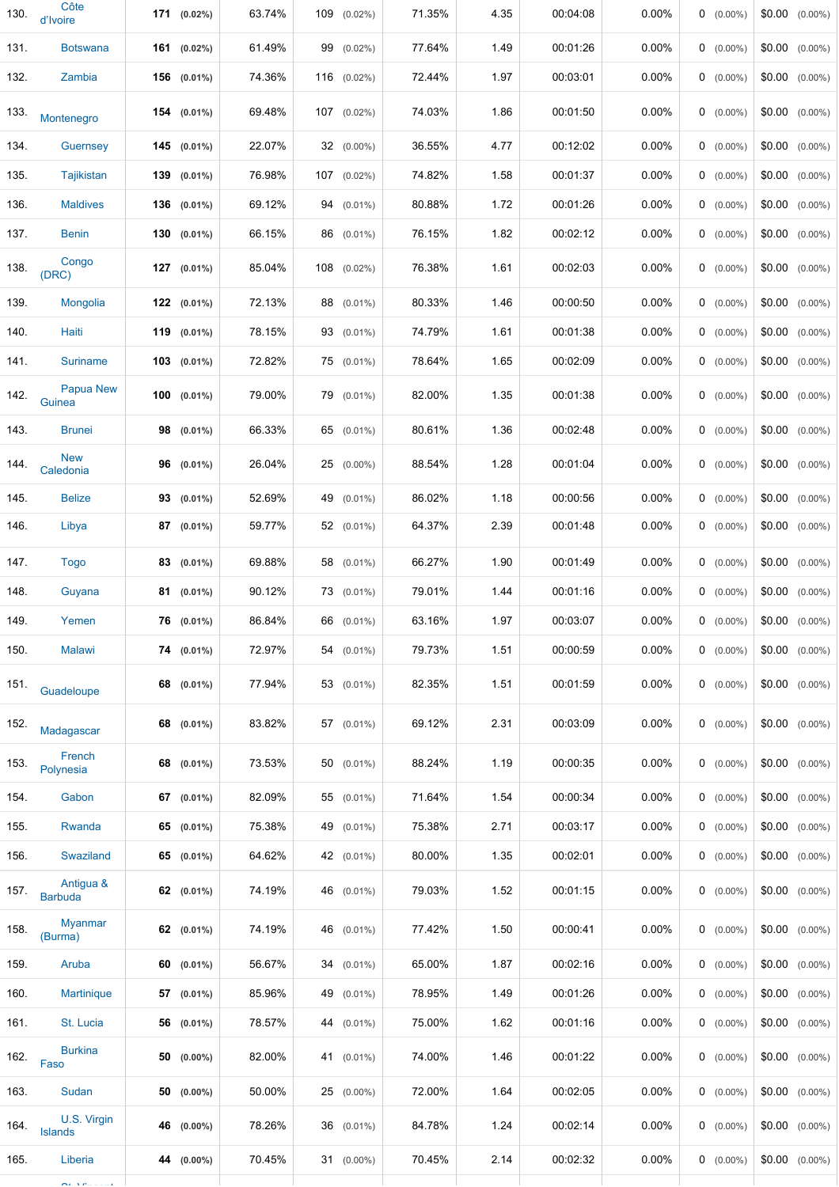| 130. | Côte<br>d'Ivoire                |    | $171$ (0.02%)    | 63.74% | 109 | $(0.02\%)$       | 71.35% | 4.35 | 00:04:08 | 0.00%    | $0$ (0.00%) |        | $$0.00$ $(0.00\%)$ |
|------|---------------------------------|----|------------------|--------|-----|------------------|--------|------|----------|----------|-------------|--------|--------------------|
| 131. | <b>Botswana</b>                 |    | 161 (0.02%)      | 61.49% |     | 99 (0.02%)       | 77.64% | 1.49 | 00:01:26 | 0.00%    | $0$ (0.00%) |        | $$0.00$ $(0.00\%)$ |
| 132. | Zambia                          |    | 156 (0.01%)      | 74.36% |     | 116 (0.02%)      | 72.44% | 1.97 | 00:03:01 | 0.00%    | $0$ (0.00%) |        | $$0.00$ $(0.00\%)$ |
| 133. | Montenegro                      |    | $154$ (0.01%)    | 69.48% |     | 107 (0.02%)      | 74.03% | 1.86 | 00:01:50 | 0.00%    | $0$ (0.00%) |        | $$0.00$ $(0.00\%)$ |
| 134. | <b>Guernsey</b>                 |    | 145 (0.01%)      | 22.07% |     | $32$ (0.00%)     | 36.55% | 4.77 | 00:12:02 | 0.00%    | $0$ (0.00%) |        | $$0.00$ $(0.00\%)$ |
| 135. | <b>Tajikistan</b>               |    | 139 (0.01%)      | 76.98% |     | 107 (0.02%)      | 74.82% | 1.58 | 00:01:37 | 0.00%    | $0$ (0.00%) | \$0.00 | $(0.00\%)$         |
| 136. | <b>Maldives</b>                 |    | 136 (0.01%)      | 69.12% |     | $94$ $(0.01\%)$  | 80.88% | 1.72 | 00:01:26 | 0.00%    | $0$ (0.00%) |        | $$0.00$ $(0.00\%)$ |
| 137. | <b>Benin</b>                    |    | 130 (0.01%)      | 66.15% |     | 86 (0.01%)       | 76.15% | 1.82 | 00:02:12 | 0.00%    | $0$ (0.00%) |        | $$0.00$ $(0.00\%)$ |
| 138. | Congo<br>(DRC)                  |    | 127 (0.01%)      | 85.04% |     | $108$ $(0.02\%)$ | 76.38% | 1.61 | 00:02:03 | 0.00%    | $0$ (0.00%) |        | $$0.00$ $(0.00\%)$ |
| 139. | Mongolia                        |    | $122$ $(0.01\%)$ | 72.13% |     | 88 (0.01%)       | 80.33% | 1.46 | 00:00:50 | 0.00%    | $0$ (0.00%) |        | $$0.00$ $(0.00\%)$ |
| 140. | Haiti                           |    | 119 (0.01%)      | 78.15% |     | 93 (0.01%)       | 74.79% | 1.61 | 00:01:38 | 0.00%    | $0$ (0.00%) |        | $$0.00$ $(0.00\%)$ |
| 141. | <b>Suriname</b>                 |    | $103$ (0.01%)    | 72.82% |     | 75 (0.01%)       | 78.64% | 1.65 | 00:02:09 | 0.00%    | $0$ (0.00%) |        | $$0.00$ $(0.00\%)$ |
| 142. | <b>Papua New</b><br>Guinea      |    | $100$ (0.01%)    | 79.00% |     | 79 (0.01%)       | 82.00% | 1.35 | 00:01:38 | 0.00%    | $0$ (0.00%) |        | $$0.00$ $(0.00\%)$ |
| 143. | <b>Brunei</b>                   |    | 98 (0.01%)       | 66.33% |     | 65 (0.01%)       | 80.61% | 1.36 | 00:02:48 | $0.00\%$ | $0$ (0.00%) |        | $$0.00$ $(0.00\%)$ |
| 144. | <b>New</b><br>Caledonia         | 96 | $(0.01\%)$       | 26.04% |     | 25 (0.00%)       | 88.54% | 1.28 | 00:01:04 | $0.00\%$ | $0$ (0.00%) |        | $$0.00$ $(0.00\%)$ |
| 145. | <b>Belize</b>                   |    | $93$ (0.01%)     | 52.69% |     | 49 (0.01%)       | 86.02% | 1.18 | 00:00:56 | 0.00%    | $0$ (0.00%) |        | $$0.00$ $(0.00\%)$ |
| 146. | Libya                           |    | 87 (0.01%)       | 59.77% |     | $52$ (0.01%)     | 64.37% | 2.39 | 00:01:48 | 0.00%    | $0$ (0.00%) |        | $$0.00$ $(0.00\%)$ |
| 147. | <b>Togo</b>                     |    | 83 (0.01%)       | 69.88% |     | 58 (0.01%)       | 66.27% | 1.90 | 00:01:49 | 0.00%    | $0$ (0.00%) |        | $$0.00$ $(0.00\%)$ |
| 148. | Guyana                          |    | 81 (0.01%)       | 90.12% |     | 73 (0.01%)       | 79.01% | 1.44 | 00:01:16 | 0.00%    | $0$ (0.00%) |        | $$0.00$ $(0.00\%)$ |
| 149. | Yemen                           |    | 76 (0.01%)       | 86.84% |     | 66 (0.01%)       | 63.16% | 1.97 | 00:03:07 | 0.00%    | $0$ (0.00%) |        | $$0.00$ $(0.00\%)$ |
| 150. | <b>Malawi</b>                   |    | $74$ (0.01%)     | 72.97% |     | $54$ (0.01%)     | 79.73% | 1.51 | 00:00:59 | 0.00%    | $0$ (0.00%) |        | $$0.00$ $(0.00\%)$ |
| 151. | Guadeloupe                      |    | 68 (0.01%)       | 77.94% |     | 53 (0.01%)       | 82.35% | 1.51 | 00:01:59 | $0.00\%$ | $0$ (0.00%) |        | $$0.00$ $(0.00\%)$ |
| 152. | Madagascar                      |    | 68 (0.01%)       | 83.82% |     | 57 (0.01%)       | 69.12% | 2.31 | 00:03:09 | $0.00\%$ | $0$ (0.00%) |        | $$0.00$ $(0.00\%)$ |
| 153. | French<br>Polynesia             |    | 68 (0.01%)       | 73.53% |     | $50$ (0.01%)     | 88.24% | 1.19 | 00:00:35 | $0.00\%$ | $0$ (0.00%) |        | $$0.00$ $(0.00\%)$ |
| 154. | Gabon                           |    | 67 (0.01%)       | 82.09% |     | 55 (0.01%)       | 71.64% | 1.54 | 00:00:34 | $0.00\%$ | $0$ (0.00%) |        | $$0.00$ $(0.00\%)$ |
| 155. | Rwanda                          |    | 65 $(0.01\%)$    | 75.38% |     | 49 (0.01%)       | 75.38% | 2.71 | 00:03:17 | $0.00\%$ | $0$ (0.00%) |        | $$0.00$ $(0.00\%)$ |
| 156. | Swaziland                       |    | 65 (0.01%)       | 64.62% |     | 42 (0.01%)       | 80.00% | 1.35 | 00:02:01 | 0.00%    | $0$ (0.00%) |        | $$0.00$ $(0.00\%)$ |
| 157. | Antigua &<br><b>Barbuda</b>     |    | 62 $(0.01\%)$    | 74.19% |     | 46 (0.01%)       | 79.03% | 1.52 | 00:01:15 | 0.00%    | $0$ (0.00%) |        | $$0.00$ $(0.00\%)$ |
| 158. | <b>Myanmar</b><br>(Burma)       |    | 62 $(0.01\%)$    | 74.19% |     | 46 (0.01%)       | 77.42% | 1.50 | 00:00:41 | $0.00\%$ | $0$ (0.00%) |        | $$0.00$ $(0.00\%)$ |
| 159. | Aruba                           |    | 60 $(0.01\%)$    | 56.67% |     | 34 (0.01%)       | 65.00% | 1.87 | 00:02:16 | $0.00\%$ | $0$ (0.00%) |        | $$0.00$ $(0.00\%)$ |
| 160. | <b>Martinique</b>               |    | 57 (0.01%)       | 85.96% |     | 49 (0.01%)       | 78.95% | 1.49 | 00:01:26 | 0.00%    | $0$ (0.00%) |        | $$0.00$ $(0.00\%)$ |
| 161. | St. Lucia                       |    | 56 (0.01%)       | 78.57% |     | 44 (0.01%)       | 75.00% | 1.62 | 00:01:16 | 0.00%    | $0$ (0.00%) |        | $$0.00$ $(0.00\%)$ |
| 162. | <b>Burkina</b><br>Faso          |    | $50$ (0.00%)     | 82.00% |     | 41 (0.01%)       | 74.00% | 1.46 | 00:01:22 | 0.00%    | $0$ (0.00%) |        | $$0.00$ $(0.00\%)$ |
| 163. | Sudan                           |    | $50$ (0.00%)     | 50.00% |     | 25 (0.00%)       | 72.00% | 1.64 | 00:02:05 | 0.00%    | $0$ (0.00%) |        | $$0.00$ $(0.00\%)$ |
| 164. | U.S. Virgin<br><b>Islands</b>   |    | 46 (0.00%)       | 78.26% |     | 36 (0.01%)       | 84.78% | 1.24 | 00:02:14 | 0.00%    | $0$ (0.00%) |        | $$0.00$ $(0.00\%)$ |
| 165. | Liberia                         |    | 44 (0.00%)       | 70.45% |     | $31$ (0.00%)     | 70.45% | 2.14 | 00:02:32 | 0.00%    | $0$ (0.00%) |        | $$0.00$ $(0.00\%)$ |
|      | $\mathbf{a}$ , and $\mathbf{a}$ |    |                  |        |     |                  |        |      |          |          |             |        |                    |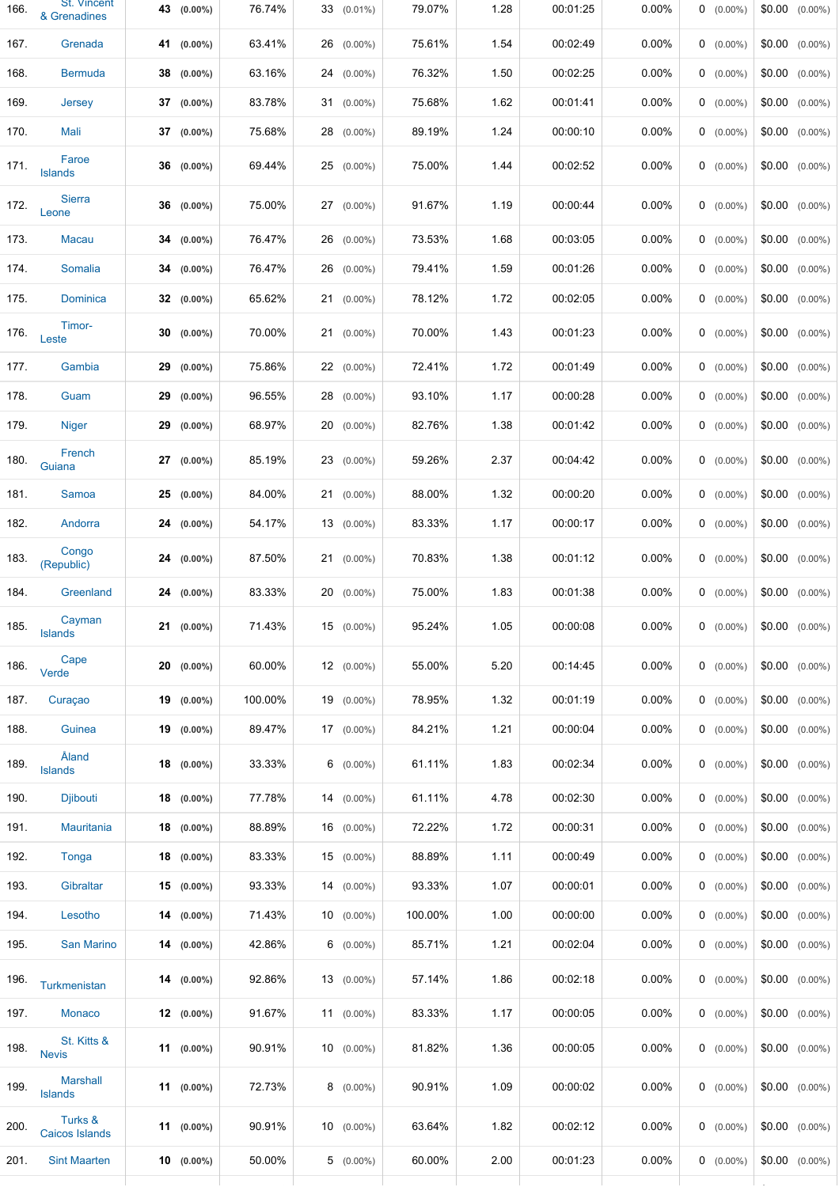| 166. | St. Vincent<br>& Grenadines      | 43 (0.00%)    | 76.74%  | 33 (0.01%)    | 79.07%  | 1.28 | 00:01:25 | 0.00%    | $0$ (0.00%)  | $$0.00$ $(0.00\%)$ |
|------|----------------------------------|---------------|---------|---------------|---------|------|----------|----------|--------------|--------------------|
| 167. | Grenada                          | 41 (0.00%)    | 63.41%  | $26$ (0.00%)  | 75.61%  | 1.54 | 00:02:49 | 0.00%    | $0$ (0.00%)  | $$0.00$ $(0.00\%)$ |
| 168. | <b>Bermuda</b>                   | $38$ (0.00%)  | 63.16%  | $24$ (0.00%)  | 76.32%  | 1.50 | 00:02:25 | $0.00\%$ | $0$ (0.00%)  | $$0.00$ $(0.00\%)$ |
| 169. | Jersey                           | $37$ (0.00%)  | 83.78%  | $31$ (0.00%)  | 75.68%  | 1.62 | 00:01:41 | 0.00%    | $0$ (0.00%)  | $$0.00$ $(0.00\%)$ |
| 170. | Mali                             | $37$ (0.00%)  | 75.68%  | 28 (0.00%)    | 89.19%  | 1.24 | 00:00:10 | 0.00%    | $0$ (0.00%)  | $$0.00$ $(0.00\%)$ |
| 171. | Faroe<br><b>Islands</b>          | $36$ (0.00%)  | 69.44%  | $25$ (0.00%)  | 75.00%  | 1.44 | 00:02:52 | $0.00\%$ | $0$ (0.00%)  | $$0.00$ $(0.00\%)$ |
| 172. | <b>Sierra</b><br>Leone           | $36$ (0.00%)  | 75.00%  | $27$ (0.00%)  | 91.67%  | 1.19 | 00:00:44 | $0.00\%$ | $0$ (0.00%)  | $$0.00$ $(0.00\%)$ |
| 173. | <b>Macau</b>                     | $34(0.00\%)$  | 76.47%  | 26 (0.00%)    | 73.53%  | 1.68 | 00:03:05 | $0.00\%$ | $0$ (0.00%)  | $$0.00$ $(0.00\%)$ |
| 174. | Somalia                          | $34$ (0.00%)  | 76.47%  | $26$ (0.00%)  | 79.41%  | 1.59 | 00:01:26 | $0.00\%$ | $0$ (0.00%)  | $$0.00$ $(0.00\%)$ |
| 175. | Dominica                         | $32$ (0.00%)  | 65.62%  | $21$ (0.00%)  | 78.12%  | 1.72 | 00:02:05 | $0.00\%$ | $0$ (0.00%)  | $$0.00$ $(0.00\%)$ |
| 176. | Timor-<br>Leste                  | $30(0.00\%)$  | 70.00%  | $21$ (0.00%)  | 70.00%  | 1.43 | 00:01:23 | $0.00\%$ | $0$ (0.00%)  | $$0.00$ $(0.00\%)$ |
| 177. | Gambia                           | $29$ (0.00%)  | 75.86%  | $22(0.00\%)$  | 72.41%  | 1.72 | 00:01:49 | 0.00%    | $0$ (0.00%)  | $$0.00$ $(0.00\%)$ |
| 178. | Guam                             | $29$ (0.00%)  | 96.55%  | 28 (0.00%)    | 93.10%  | 1.17 | 00:00:28 | $0.00\%$ | $0$ (0.00%)  | $$0.00$ $(0.00\%)$ |
| 179. | <b>Niger</b>                     | $29$ (0.00%)  | 68.97%  | $20$ (0.00%)  | 82.76%  | 1.38 | 00:01:42 | 0.00%    | $0$ (0.00%)  | $$0.00$ $(0.00\%)$ |
| 180. | French<br>Guiana                 | $27$ (0.00%)  | 85.19%  | 23 (0.00%)    | 59.26%  | 2.37 | 00:04:42 | 0.00%    | $0$ (0.00%)  | $$0.00$ $(0.00\%)$ |
| 181. | Samoa                            | $25$ (0.00%)  | 84.00%  | $21$ (0.00%)  | 88.00%  | 1.32 | 00:00:20 | 0.00%    | $0$ (0.00%)  | $$0.00$ $(0.00\%)$ |
| 182. | Andorra                          | $24$ (0.00%)  | 54.17%  | $13(0.00\%)$  | 83.33%  | 1.17 | 00:00:17 | 0.00%    | $0$ (0.00%)  | $$0.00$ $(0.00\%)$ |
| 183. | Congo<br>(Republic)              | $24$ (0.00%)  | 87.50%  | $21$ (0.00%)  | 70.83%  | 1.38 | 00:01:12 | $0.00\%$ | $0$ (0.00%)  | $$0.00$ $(0.00\%)$ |
| 184. | Greenland                        | $24$ (0.00%)  | 83.33%  | $20$ (0.00%)  | 75.00%  | 1.83 | 00:01:38 | 0.00%    | $0$ (0.00%)  | $$0.00$ $(0.00\%)$ |
| 185. | Cayman<br>Islands                | $21$ (0.00%)  | 71.43%  | $15(0.00\%)$  | 95.24%  | 1.05 | 00:00:08 | $0.00\%$ | $0 (0.00\%)$ | $$0.00$ $(0.00\%)$ |
| 186. | Cape<br>Verde                    | $20$ (0.00%)  | 60.00%  | $12(0.00\%)$  | 55.00%  | 5.20 | 00:14:45 | 0.00%    | $0$ (0.00%)  | $$0.00$ $(0.00\%)$ |
| 187. | Curaçao                          | $19(0.00\%)$  | 100.00% | $19(0.00\%)$  | 78.95%  | 1.32 | 00:01:19 | 0.00%    | $0$ (0.00%)  | $$0.00$ $(0.00\%)$ |
| 188. | Guinea                           | $19(0.00\%)$  | 89.47%  | $17(0.00\%)$  | 84.21%  | 1.21 | 00:00:04 | $0.00\%$ | $0$ (0.00%)  | $$0.00$ $(0.00\%)$ |
| 189. | Åland<br><b>Islands</b>          | $18$ (0.00%)  | 33.33%  | $6$ (0.00%)   | 61.11%  | 1.83 | 00:02:34 | $0.00\%$ | $0$ (0.00%)  | $$0.00$ $(0.00\%)$ |
| 190. | Djibouti                         | $18$ (0.00%)  | 77.78%  | $14(0.00\%)$  | 61.11%  | 4.78 | 00:02:30 | 0.00%    | $0$ (0.00%)  | $$0.00$ $(0.00\%)$ |
| 191. | <b>Mauritania</b>                | $18$ (0.00%)  | 88.89%  | $16$ (0.00%)  | 72.22%  | 1.72 | 00:00:31 | $0.00\%$ | $0$ (0.00%)  | $$0.00$ $(0.00\%)$ |
| 192. | Tonga                            | $18$ (0.00%)  | 83.33%  | $15$ (0.00%)  | 88.89%  | 1.11 | 00:00:49 | $0.00\%$ | $0$ (0.00%)  | $$0.00$ $(0.00\%)$ |
| 193. | Gibraltar                        | $15(0.00\%)$  | 93.33%  | $14(0.00\%)$  | 93.33%  | 1.07 | 00:00:01 | $0.00\%$ | $0$ (0.00%)  | $$0.00$ $(0.00\%)$ |
| 194. | Lesotho                          | $14(0.00\%)$  | 71.43%  | $10(0.00\%)$  | 100.00% | 1.00 | 00:00:00 | 0.00%    | $0$ (0.00%)  | $$0.00$ $(0.00\%)$ |
| 195. | San Marino                       | $14(0.00\%)$  | 42.86%  | $6$ (0.00%)   | 85.71%  | 1.21 | 00:02:04 | $0.00\%$ | $0$ (0.00%)  | $$0.00$ $(0.00\%)$ |
| 196. | Turkmenistan                     | $14(0.00\%)$  | 92.86%  | $13(0.00\%)$  | 57.14%  | 1.86 | 00:02:18 | $0.00\%$ | $0$ (0.00%)  | $$0.00$ $(0.00\%)$ |
| 197. | Monaco                           | $12(0.00\%)$  | 91.67%  | 11 $(0.00\%)$ | 83.33%  | 1.17 | 00:00:05 | $0.00\%$ | $0$ (0.00%)  | $$0.00$ $(0.00\%)$ |
| 198. | St. Kitts &<br><b>Nevis</b>      | 11 $(0.00\%)$ | 90.91%  | $10(0.00\%)$  | 81.82%  | 1.36 | 00:00:05 | $0.00\%$ | $0$ (0.00%)  | $$0.00$ $(0.00\%)$ |
| 199. | <b>Marshall</b><br>Islands       | $11(0.00\%)$  | 72.73%  | $8(0.00\%)$   | 90.91%  | 1.09 | 00:00:02 | 0.00%    | $0$ (0.00%)  | $$0.00$ $(0.00\%)$ |
| 200. | Turks &<br><b>Caicos Islands</b> | 11 $(0.00\%)$ | 90.91%  | $10(0.00\%)$  | 63.64%  | 1.82 | 00:02:12 | $0.00\%$ | $0$ (0.00%)  | $$0.00$ $(0.00\%)$ |
| 201. | <b>Sint Maarten</b>              | $10(0.00\%)$  | 50.00%  | $5(0.00\%)$   | 60.00%  | 2.00 | 00:01:23 | $0.00\%$ | $0$ (0.00%)  | $$0.00$ $(0.00\%)$ |
|      |                                  |               |         |               |         |      |          |          |              |                    |